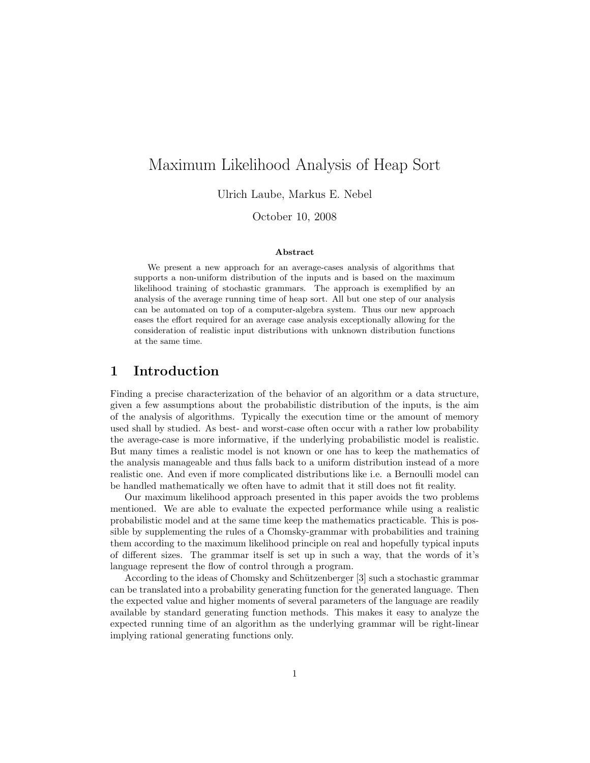# Maximum Likelihood Analysis of Heap Sort

Ulrich Laube, Markus E. Nebel

October 10, 2008

#### Abstract

We present a new approach for an average-cases analysis of algorithms that supports a non-uniform distribution of the inputs and is based on the maximum likelihood training of stochastic grammars. The approach is exemplified by an analysis of the average running time of heap sort. All but one step of our analysis can be automated on top of a computer-algebra system. Thus our new approach eases the effort required for an average case analysis exceptionally allowing for the consideration of realistic input distributions with unknown distribution functions at the same time.

# 1 Introduction

Finding a precise characterization of the behavior of an algorithm or a data structure, given a few assumptions about the probabilistic distribution of the inputs, is the aim of the analysis of algorithms. Typically the execution time or the amount of memory used shall by studied. As best- and worst-case often occur with a rather low probability the average-case is more informative, if the underlying probabilistic model is realistic. But many times a realistic model is not known or one has to keep the mathematics of the analysis manageable and thus falls back to a uniform distribution instead of a more realistic one. And even if more complicated distributions like i.e. a Bernoulli model can be handled mathematically we often have to admit that it still does not fit reality.

Our maximum likelihood approach presented in this paper avoids the two problems mentioned. We are able to evaluate the expected performance while using a realistic probabilistic model and at the same time keep the mathematics practicable. This is possible by supplementing the rules of a Chomsky-grammar with probabilities and training them according to the maximum likelihood principle on real and hopefully typical inputs of different sizes. The grammar itself is set up in such a way, that the words of it's language represent the flow of control through a program.

According to the ideas of Chomsky and Schützenberger [3] such a stochastic grammar can be translated into a probability generating function for the generated language. Then the expected value and higher moments of several parameters of the language are readily available by standard generating function methods. This makes it easy to analyze the expected running time of an algorithm as the underlying grammar will be right-linear implying rational generating functions only.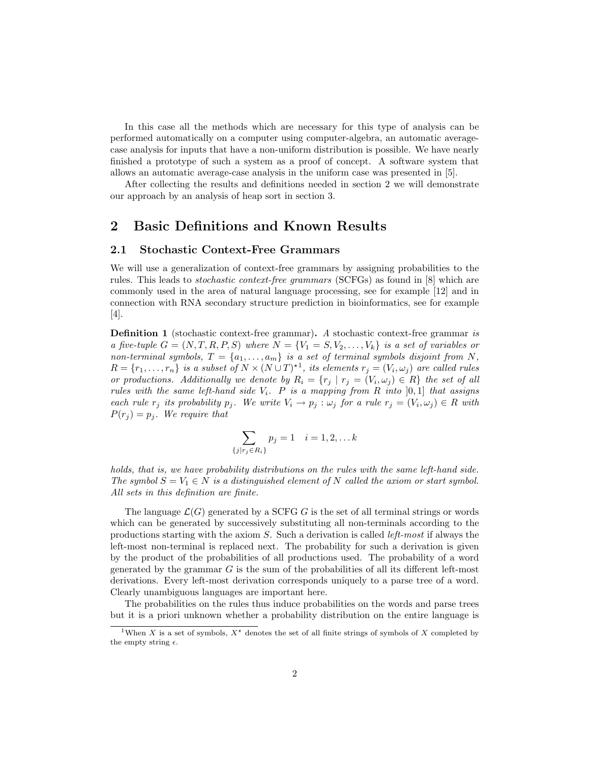In this case all the methods which are necessary for this type of analysis can be performed automatically on a computer using computer-algebra, an automatic averagecase analysis for inputs that have a non-uniform distribution is possible. We have nearly finished a prototype of such a system as a proof of concept. A software system that allows an automatic average-case analysis in the uniform case was presented in [5].

After collecting the results and definitions needed in section 2 we will demonstrate our approach by an analysis of heap sort in section 3.

### 2 Basic Definitions and Known Results

### 2.1 Stochastic Context-Free Grammars

We will use a generalization of context-free grammars by assigning probabilities to the rules. This leads to stochastic context-free grammars (SCFGs) as found in [8] which are commonly used in the area of natural language processing, see for example [12] and in connection with RNA secondary structure prediction in bioinformatics, see for example [4].

Definition 1 (stochastic context-free grammar). A stochastic context-free grammar is a five-tuple  $G = (N, T, R, P, S)$  where  $N = \{V_1 = S, V_2, \ldots, V_k\}$  is a set of variables or non-terminal symbols,  $T = \{a_1, \ldots, a_m\}$  is a set of terminal symbols disjoint from N,  $R = \{r_1, \ldots, r_n\}$  is a subset of  $N \times (N \cup T)^{\star 1}$ , its elements  $r_j = (V_i, \omega_j)$  are called rules or productions. Additionally we denote by  $R_i = \{r_j | r_j = (V_i, \omega_j) \in R\}$  the set of all rules with the same left-hand side  $V_i$ . P is a mapping from R into [0,1] that assigns each rule  $r_j$  its probability  $p_j$ . We write  $V_i \to p_j : \omega_j$  for a rule  $r_j = (V_i, \omega_j) \in R$  with  $P(r_i) = p_i$ . We require that

$$
\sum_{\{j|r_j\in R_i\}} p_j = 1 \quad i = 1, 2, \dots k
$$

holds, that is, we have probability distributions on the rules with the same left-hand side. The symbol  $S = V_1 \in N$  is a distinguished element of N called the axiom or start symbol. All sets in this definition are finite.

The language  $\mathcal{L}(G)$  generated by a SCFG G is the set of all terminal strings or words which can be generated by successively substituting all non-terminals according to the productions starting with the axiom  $S$ . Such a derivation is called *left-most* if always the left-most non-terminal is replaced next. The probability for such a derivation is given by the product of the probabilities of all productions used. The probability of a word generated by the grammar  $G$  is the sum of the probabilities of all its different left-most derivations. Every left-most derivation corresponds uniquely to a parse tree of a word. Clearly unambiguous languages are important here.

The probabilities on the rules thus induce probabilities on the words and parse trees but it is a priori unknown whether a probability distribution on the entire language is

<sup>&</sup>lt;sup>1</sup>When X is a set of symbols,  $X^*$  denotes the set of all finite strings of symbols of X completed by the empty string  $\epsilon$ .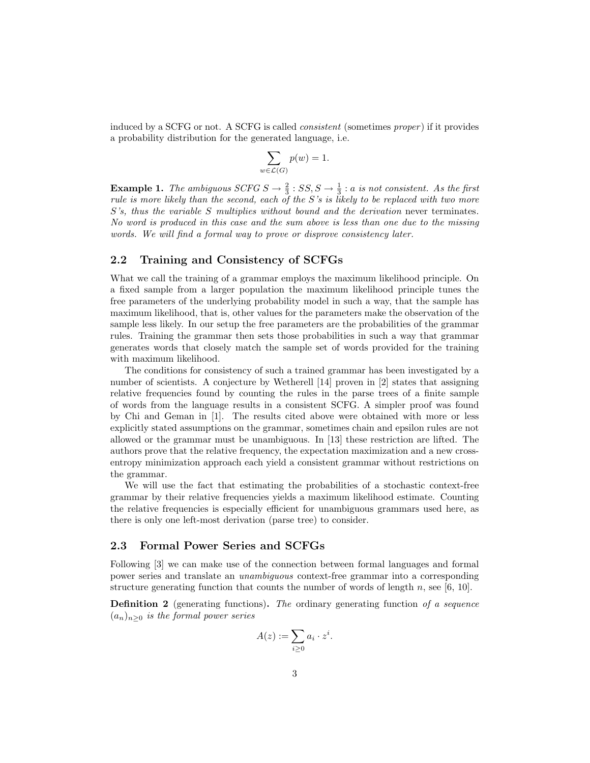induced by a SCFG or not. A SCFG is called *consistent* (sometimes *proper*) if it provides a probability distribution for the generated language, i.e.

$$
\sum_{w \in \mathcal{L}(G)} p(w) = 1.
$$

**Example 1.** The ambiguous SCFG  $S \to \frac{2}{3}$  :  $SS, S \to \frac{1}{3}$  : a is not consistent. As the first rule is more likely than the second, each of the S's is likely to be replaced with two more S's, thus the variable S multiplies without bound and the derivation never terminates. No word is produced in this case and the sum above is less than one due to the missing words. We will find a formal way to prove or disprove consistency later.

#### 2.2 Training and Consistency of SCFGs

What we call the training of a grammar employs the maximum likelihood principle. On a fixed sample from a larger population the maximum likelihood principle tunes the free parameters of the underlying probability model in such a way, that the sample has maximum likelihood, that is, other values for the parameters make the observation of the sample less likely. In our setup the free parameters are the probabilities of the grammar rules. Training the grammar then sets those probabilities in such a way that grammar generates words that closely match the sample set of words provided for the training with maximum likelihood.

The conditions for consistency of such a trained grammar has been investigated by a number of scientists. A conjecture by Wetherell [14] proven in [2] states that assigning relative frequencies found by counting the rules in the parse trees of a finite sample of words from the language results in a consistent SCFG. A simpler proof was found by Chi and Geman in [1]. The results cited above were obtained with more or less explicitly stated assumptions on the grammar, sometimes chain and epsilon rules are not allowed or the grammar must be unambiguous. In [13] these restriction are lifted. The authors prove that the relative frequency, the expectation maximization and a new crossentropy minimization approach each yield a consistent grammar without restrictions on the grammar.

We will use the fact that estimating the probabilities of a stochastic context-free grammar by their relative frequencies yields a maximum likelihood estimate. Counting the relative frequencies is especially efficient for unambiguous grammars used here, as there is only one left-most derivation (parse tree) to consider.

#### 2.3 Formal Power Series and SCFGs

Following [3] we can make use of the connection between formal languages and formal power series and translate an unambiguous context-free grammar into a corresponding structure generating function that counts the number of words of length n, see [6, 10].

**Definition 2** (generating functions). The ordinary generating function of a sequence  $(a_n)_{n\geq 0}$  is the formal power series

$$
A(z) := \sum_{i \geq 0} a_i \cdot z^i.
$$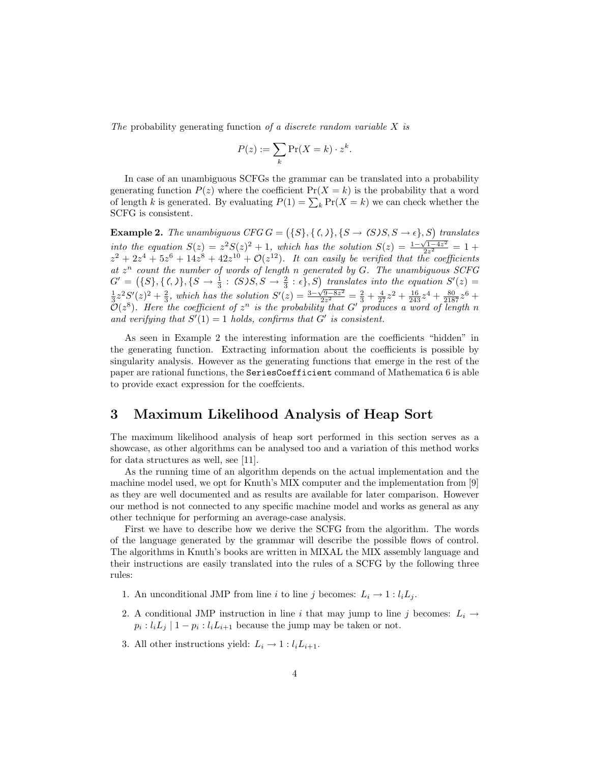The probability generating function of a discrete random variable X is

$$
P(z) := \sum_{k} \Pr(X = k) \cdot z^{k}.
$$

In case of an unambiguous SCFGs the grammar can be translated into a probability generating function  $P(z)$  where the coefficient  $Pr(X = k)$  is the probability that a word of length k is generated. By evaluating  $P(1) = \sum_{k} Pr(X = k)$  we can check whether the SCFG is consistent.

**Example 2.** The unambiguous CFG  $G = (\{S\}, \{ (,) \}, \{ S \rightarrow (S)S, S \rightarrow \epsilon \}, S)$  translates into the equation  $S(z) = z^2 S(z)^2 + 1$ , which has the solution  $S(z) = \frac{1-\sqrt{1-4z^2}}{2z^2} = 1 +$  $z^2 + 2z^4 + 5z^6 + 14z^8 + 42z^{10} + \mathcal{O}(z^{12})$ . It can easily be verified that the coefficients at  $z^n$  count the number of words of length n generated by G. The unambiguous SCFG  $G' = (\{S\}, \{ \zeta, \} \}, \{S \to \frac{1}{3} : S \cup S, S \to \frac{2}{3} : \epsilon \}, S)$  translates into the equation  $S'(z) =$  $\frac{1}{3}z^2S'(z)^2+\frac{2}{3}$ , which has the solution  $S'(z)=\frac{3-\sqrt{9-8z^2}}{2z^2}=\frac{2}{3}+\frac{4}{27}z^2+\frac{16}{243}z^4+\frac{80}{2187}z^6+$  $\mathcal{O}(z^8)$ . Here the coefficient of  $z^n$  is the probability that G' produces a word of length n and verifying that  $S'(1) = 1$  holds, confirms that  $G'$  is consistent.

As seen in Example 2 the interesting information are the coefficients "hidden" in the generating function. Extracting information about the coefficients is possible by singularity analysis. However as the generating functions that emerge in the rest of the paper are rational functions, the SeriesCoefficient command of Mathematica 6 is able to provide exact expression for the coeffcients.

# 3 Maximum Likelihood Analysis of Heap Sort

The maximum likelihood analysis of heap sort performed in this section serves as a showcase, as other algorithms can be analysed too and a variation of this method works for data structures as well, see [11].

As the running time of an algorithm depends on the actual implementation and the machine model used, we opt for Knuth's MIX computer and the implementation from [9] as they are well documented and as results are available for later comparison. However our method is not connected to any specific machine model and works as general as any other technique for performing an average-case analysis.

First we have to describe how we derive the SCFG from the algorithm. The words of the language generated by the grammar will describe the possible flows of control. The algorithms in Knuth's books are written in MIXAL the MIX assembly language and their instructions are easily translated into the rules of a SCFG by the following three rules:

- 1. An unconditional JMP from line i to line j becomes:  $L_i \rightarrow 1 : l_i L_j$ .
- 2. A conditional JMP instruction in line i that may jump to line j becomes:  $L_i \rightarrow$  $p_i: l_i L_j \mid 1-p_i: l_i L_{i+1}$  because the jump may be taken or not.
- 3. All other instructions yield:  $L_i \rightarrow 1 : l_i L_{i+1}$ .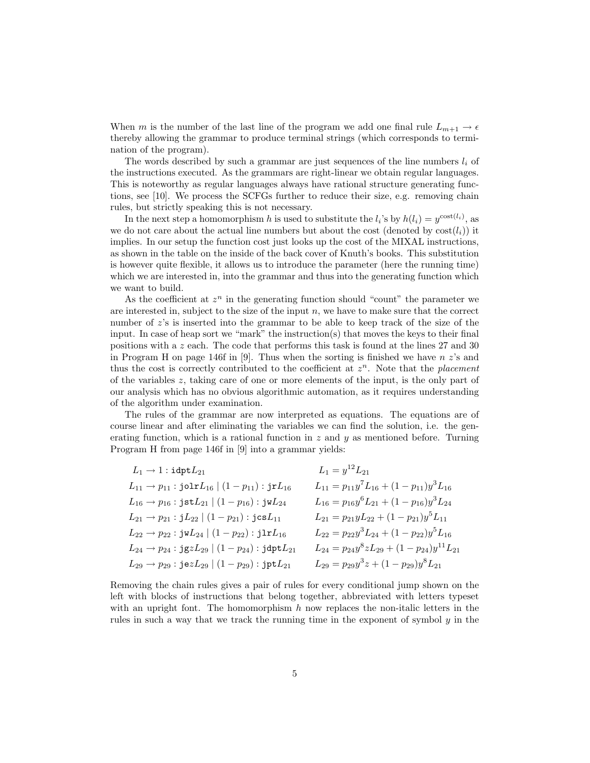When m is the number of the last line of the program we add one final rule  $L_{m+1} \to \epsilon$ thereby allowing the grammar to produce terminal strings (which corresponds to termination of the program).

The words described by such a grammar are just sequences of the line numbers  $l_i$  of the instructions executed. As the grammars are right-linear we obtain regular languages. This is noteworthy as regular languages always have rational structure generating functions, see [10]. We process the SCFGs further to reduce their size, e.g. removing chain rules, but strictly speaking this is not necessary.

In the next step a homomorphism h is used to substitute the  $l_i$ 's by  $h(l_i) = y^{\text{cost}(l_i)}$ , as we do not care about the actual line numbers but about the cost (denoted by  $\cos(t_i)$ ) it implies. In our setup the function cost just looks up the cost of the MIXAL instructions, as shown in the table on the inside of the back cover of Knuth's books. This substitution is however quite flexible, it allows us to introduce the parameter (here the running time) which we are interested in, into the grammar and thus into the generating function which we want to build.

As the coefficient at  $z^n$  in the generating function should "count" the parameter we are interested in, subject to the size of the input  $n$ , we have to make sure that the correct number of  $z$ 's is inserted into the grammar to be able to keep track of the size of the input. In case of heap sort we "mark" the instruction(s) that moves the keys to their final positions with a z each. The code that performs this task is found at the lines 27 and 30 in Program H on page 146f in [9]. Thus when the sorting is finished we have  $n \, z$ 's and thus the cost is correctly contributed to the coefficient at  $z<sup>n</sup>$ . Note that the placement of the variables  $z$ , taking care of one or more elements of the input, is the only part of our analysis which has no obvious algorithmic automation, as it requires understanding of the algorithm under examination.

The rules of the grammar are now interpreted as equations. The equations are of course linear and after eliminating the variables we can find the solution, i.e. the generating function, which is a rational function in  $z$  and  $y$  as mentioned before. Turning Program H from page 146f in [9] into a grammar yields:

| $L_1 \rightarrow 1$ : $\mathtt{idpt} L_{21}$                               | $L_1 = y^{12} L_{21}$                                |
|----------------------------------------------------------------------------|------------------------------------------------------|
| $L_{11} \rightarrow p_{11}$ : jolr $L_{16}$   $(1 - p_{11})$ : jr $L_{16}$ | $L_{11} = p_{11}y^7L_{16} + (1-p_{11})y^3L_{16}$     |
| $L_{16} \rightarrow p_{16}$ : jst $L_{21}   (1 - p_{16})$ : jw $L_{24}$    | $L_{16} = p_{16}y^{6}L_{21} + (1-p_{16})y^{3}L_{24}$ |
| $L_{21} \rightarrow p_{21}$ : $jL_{22}   (1-p_{21})$ : $jcsL_{11}$         | $L_{21} = p_{21}yL_{22} + (1-p_{21})y^5L_{11}$       |
| $L_{22} \rightarrow p_{22}$ : jw $L_{24}   (1-p_{22})$ : jlr $L_{16}$      | $L_{22} = p_{22}y^{3}L_{24} + (1-p_{22})y^{5}L_{16}$ |
| $L_{24} \rightarrow p_{24}$ : jgz $L_{29}$   $(1-p_{24})$ : jdpt $L_{21}$  | $L_{24} = p_{24}y^8zL_{29} + (1-p_{24})y^{11}L_{21}$ |
| $L_{29} \rightarrow p_{29}$ : jez $L_{29} \mid (1-p_{29})$ : jpt $L_{21}$  | $L_{29} = p_{29}y^3z + (1-p_{29})y^8L_{21}$          |

Removing the chain rules gives a pair of rules for every conditional jump shown on the left with blocks of instructions that belong together, abbreviated with letters typeset with an upright font. The homomorphism  $h$  now replaces the non-italic letters in the rules in such a way that we track the running time in the exponent of symbol y in the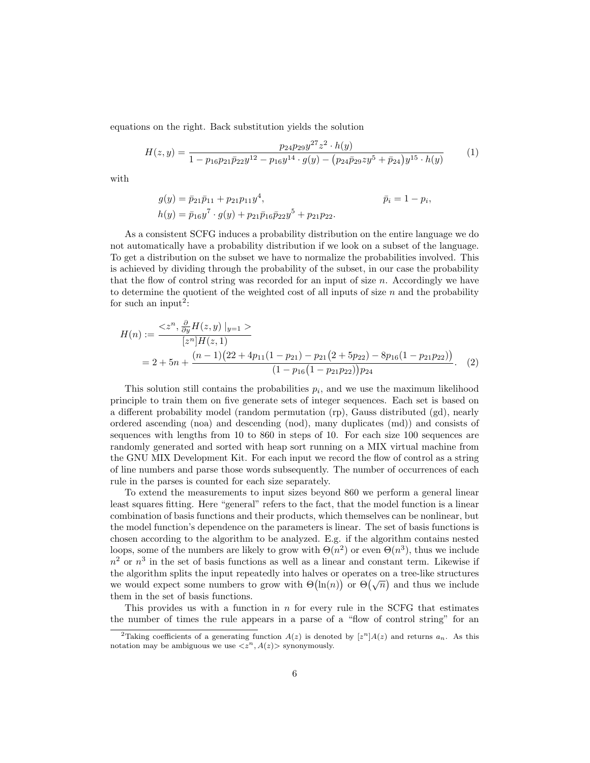equations on the right. Back substitution yields the solution

$$
H(z,y) = \frac{p_{24}p_{29}y^{27}z^2 \cdot h(y)}{1 - p_{16}p_{21}\bar{p}_{22}y^{12} - p_{16}y^{14} \cdot g(y) - (p_{24}\bar{p}_{29}zy^5 + \bar{p}_{24})y^{15} \cdot h(y)}
$$
(1)

with

$$
g(y) = \bar{p}_{21}\bar{p}_{11} + p_{21}p_{11}y^4, h(y) = \bar{p}_{16}y^7 \cdot g(y) + p_{21}\bar{p}_{16}\bar{p}_{22}y^5 + p_{21}p_{22}.
$$

As a consistent SCFG induces a probability distribution on the entire language we do not automatically have a probability distribution if we look on a subset of the language. To get a distribution on the subset we have to normalize the probabilities involved. This is achieved by dividing through the probability of the subset, in our case the probability that the flow of control string was recorded for an input of size  $n$ . Accordingly we have to determine the quotient of the weighted cost of all inputs of size  $n$  and the probability for such an input<sup>2</sup>:

$$
H(n) := \frac{}{[z^n]H(z, 1)}
$$
  
= 2 + 5n +  $\frac{(n-1)(22 + 4p_{11}(1 - p_{21}) - p_{21}(2 + 5p_{22}) - 8p_{16}(1 - p_{21}p_{22}))}{(1 - p_{16}(1 - p_{21}p_{22}))p_{24}}.$  (2)

This solution still contains the probabilities  $p_i$ , and we use the maximum likelihood principle to train them on five generate sets of integer sequences. Each set is based on a different probability model (random permutation (rp), Gauss distributed (gd), nearly ordered ascending (noa) and descending (nod), many duplicates (md)) and consists of sequences with lengths from 10 to 860 in steps of 10. For each size 100 sequences are randomly generated and sorted with heap sort running on a MIX virtual machine from the GNU MIX Development Kit. For each input we record the flow of control as a string of line numbers and parse those words subsequently. The number of occurrences of each rule in the parses is counted for each size separately.

To extend the measurements to input sizes beyond 860 we perform a general linear least squares fitting. Here "general" refers to the fact, that the model function is a linear combination of basis functions and their products, which themselves can be nonlinear, but the model function's dependence on the parameters is linear. The set of basis functions is chosen according to the algorithm to be analyzed. E.g. if the algorithm contains nested loops, some of the numbers are likely to grow with  $\Theta(n^2)$  or even  $\Theta(n^3)$ , thus we include  $n<sup>2</sup>$  or  $n<sup>3</sup>$  in the set of basis functions as well as a linear and constant term. Likewise if the algorithm splits the input repeatedly into halves or operates on a tree-like structures the algorithm spits the input repeatedly into haives of operates on a tree-like structures<br>we would expect some numbers to grow with  $\Theta(\ln(n))$  or  $\Theta(\sqrt{n})$  and thus we include them in the set of basis functions.

This provides us with a function in  $n$  for every rule in the SCFG that estimates the number of times the rule appears in a parse of a "flow of control string" for an

<sup>&</sup>lt;sup>2</sup>Taking coefficients of a generating function  $A(z)$  is denoted by  $[z<sup>n</sup>]A(z)$  and returns  $a_n$ . As this notation may be ambiguous we use  $\langle z^n, A(z)\rangle$  synonymously.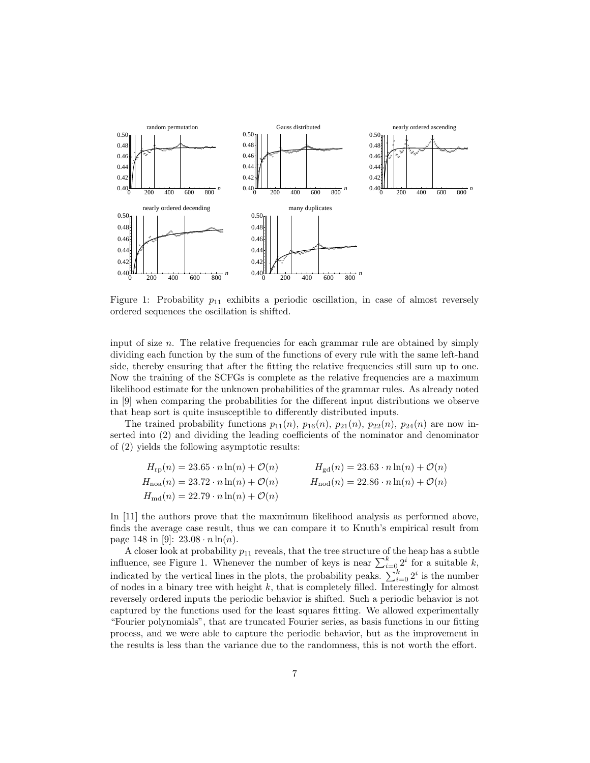

Figure 1: Probability  $p_{11}$  exhibits a periodic oscillation, in case of almost reversely ordered sequences the oscillation is shifted.

dividing each function by the sum of the functions of every rule with the same left-hand input of size  $n$ . The relative frequencies for each grammar rule are obtained by simply side, thereby ensuring that after the fitting the relative frequencies still sum up to one. Now the training of the SCFGs is complete as the relative frequencies are a maximum likelihood estimate for the unknown probabilities of the grammar rules. As already noted in [9] when comparing the probabilities for the different input distributions we observe that heap sort is quite insusceptible to differently distributed inputs.

The trained probability functions  $p_{11}(n)$ ,  $p_{16}(n)$ ,  $p_{21}(n)$ ,  $p_{22}(n)$ ,  $p_{24}(n)$  are now inserted into (2) and dividing the leading coefficients of the nominator and denominator of (2) yields the following asymptotic results:

$$
H_{\rm rp}(n) = 23.65 \cdot n \ln(n) + \mathcal{O}(n) \qquad H_{\rm gd}(n) = 23.63 \cdot n \ln(n) + \mathcal{O}(n)
$$
  
\n
$$
H_{\rm noa}(n) = 23.72 \cdot n \ln(n) + \mathcal{O}(n) \qquad H_{\rm nod}(n) = 22.86 \cdot n \ln(n) + \mathcal{O}(n)
$$
  
\n
$$
H_{\rm md}(n) = 22.79 \cdot n \ln(n) + \mathcal{O}(n)
$$

In [11] the authors prove that the maxmimum likelihood analysis as performed above, finds the average case result, thus we can compare it to Knuth's empirical result from page 148 in [9]:  $23.08 \cdot n \ln(n)$ .

A closer look at probability  $p_{11}$  reveals, that the tree structure of the heap has a subtle influence, see Figure 1. Whenever the number of keys is near  $\sum_{i=0}^{k} 2^i$  for a suitable k, indicated by the vertical lines in the plots, the probability peaks.  $\sum_{i=0}^{k} 2^i$  is the number of nodes in a binary tree with height  $k$ , that is completely filled. Interestingly for almost reversely ordered inputs the periodic behavior is shifted. Such a periodic behavior is not captured by the functions used for the least squares fitting. We allowed experimentally "Fourier polynomials", that are truncated Fourier series, as basis functions in our fitting process, and we were able to capture the periodic behavior, but as the improvement in the results is less than the variance due to the randomness, this is not worth the effort.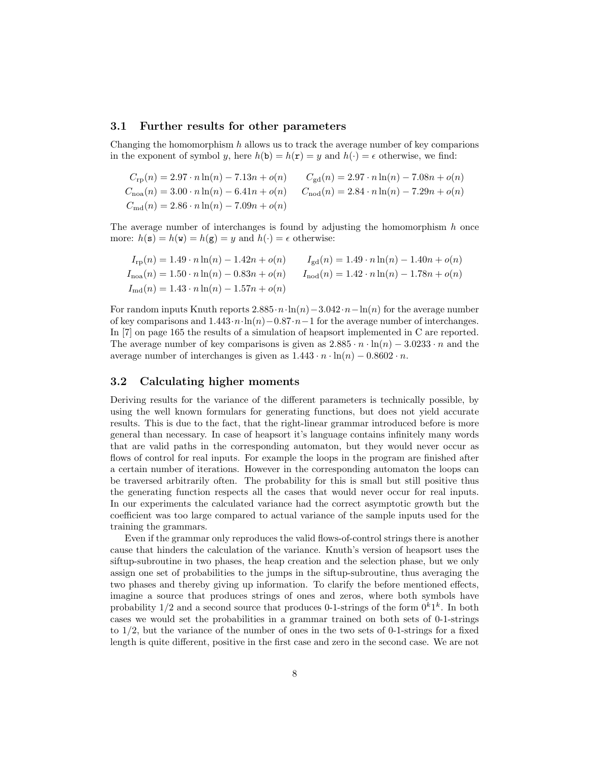#### 3.1 Further results for other parameters

Changing the homomorphism  $h$  allows us to track the average number of key comparions in the exponent of symbol y, here  $h(\mathbf{b}) = h(\mathbf{r}) = y$  and  $h(\cdot) = \epsilon$  otherwise, we find:

$$
C_{\rm rp}(n) = 2.97 \cdot n \ln(n) - 7.13n + o(n) \qquad C_{\rm gd}(n) = 2.97 \cdot n \ln(n) - 7.08n + o(n)
$$
  
\n
$$
C_{\rm noa}(n) = 3.00 \cdot n \ln(n) - 6.41n + o(n) \qquad C_{\rm nod}(n) = 2.84 \cdot n \ln(n) - 7.29n + o(n)
$$
  
\n
$$
C_{\rm md}(n) = 2.86 \cdot n \ln(n) - 7.09n + o(n)
$$

The average number of interchanges is found by adjusting the homomorphism  $h$  once more:  $h(\mathbf{s}) = h(\mathbf{w}) = h(\mathbf{g}) = y$  and  $h(\cdot) = \epsilon$  otherwise:

$$
I_{\rm rp}(n) = 1.49 \cdot n \ln(n) - 1.42n + o(n) \qquad I_{\rm gd}(n) = 1.49 \cdot n \ln(n) - 1.40n + o(n)
$$
  
\n
$$
I_{\rm noa}(n) = 1.50 \cdot n \ln(n) - 0.83n + o(n) \qquad I_{\rm nod}(n) = 1.42 \cdot n \ln(n) - 1.78n + o(n)
$$
  
\n
$$
I_{\rm md}(n) = 1.43 \cdot n \ln(n) - 1.57n + o(n)
$$

For random inputs Knuth reports  $2.885 \tcdot n \cdot \ln(n) - 3.042 \cdot n - \ln(n)$  for the average number of key comparisons and  $1.443 \cdot n \cdot \ln(n) - 0.87 \cdot n - 1$  for the average number of interchanges. In [7] on page 165 the results of a simulation of heapsort implemented in C are reported. The average number of key comparisons is given as  $2.885 \cdot n \cdot \ln(n) - 3.0233 \cdot n$  and the average number of interchanges is given as  $1.443 \cdot n \cdot \ln(n) - 0.8602 \cdot n$ .

#### 3.2 Calculating higher moments

Deriving results for the variance of the different parameters is technically possible, by using the well known formulars for generating functions, but does not yield accurate results. This is due to the fact, that the right-linear grammar introduced before is more general than necessary. In case of heapsort it's language contains infinitely many words that are valid paths in the corresponding automaton, but they would never occur as flows of control for real inputs. For example the loops in the program are finished after a certain number of iterations. However in the corresponding automaton the loops can be traversed arbitrarily often. The probability for this is small but still positive thus the generating function respects all the cases that would never occur for real inputs. In our experiments the calculated variance had the correct asymptotic growth but the coefficient was too large compared to actual variance of the sample inputs used for the training the grammars.

Even if the grammar only reproduces the valid flows-of-control strings there is another cause that hinders the calculation of the variance. Knuth's version of heapsort uses the siftup-subroutine in two phases, the heap creation and the selection phase, but we only assign one set of probabilities to the jumps in the siftup-subroutine, thus averaging the two phases and thereby giving up information. To clarify the before mentioned effects, imagine a source that produces strings of ones and zeros, where both symbols have probability  $1/2$  and a second source that produces 0-1-strings of the form  $0^k1^k$ . In both cases we would set the probabilities in a grammar trained on both sets of 0-1-strings to  $1/2$ , but the variance of the number of ones in the two sets of 0-1-strings for a fixed length is quite different, positive in the first case and zero in the second case. We are not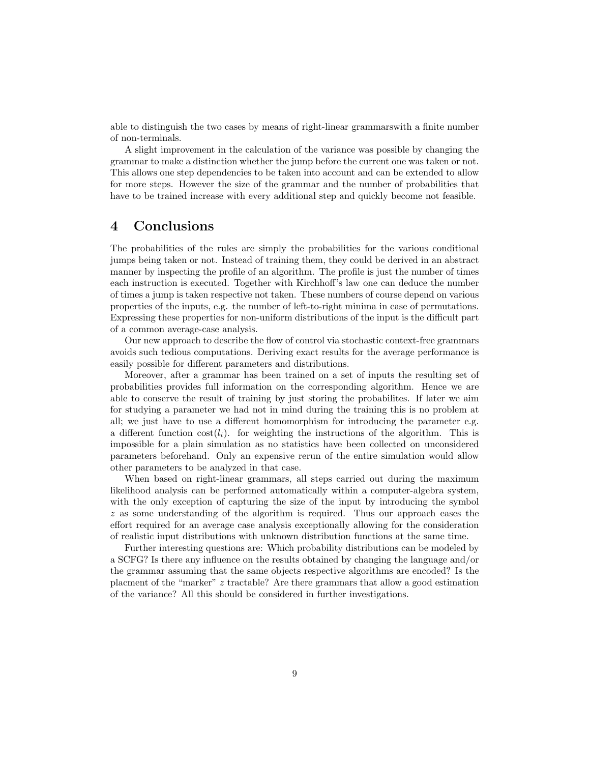able to distinguish the two cases by means of right-linear grammarswith a finite number of non-terminals.

A slight improvement in the calculation of the variance was possible by changing the grammar to make a distinction whether the jump before the current one was taken or not. This allows one step dependencies to be taken into account and can be extended to allow for more steps. However the size of the grammar and the number of probabilities that have to be trained increase with every additional step and quickly become not feasible.

### 4 Conclusions

The probabilities of the rules are simply the probabilities for the various conditional jumps being taken or not. Instead of training them, they could be derived in an abstract manner by inspecting the profile of an algorithm. The profile is just the number of times each instruction is executed. Together with Kirchhoff's law one can deduce the number of times a jump is taken respective not taken. These numbers of course depend on various properties of the inputs, e.g. the number of left-to-right minima in case of permutations. Expressing these properties for non-uniform distributions of the input is the difficult part of a common average-case analysis.

Our new approach to describe the flow of control via stochastic context-free grammars avoids such tedious computations. Deriving exact results for the average performance is easily possible for different parameters and distributions.

Moreover, after a grammar has been trained on a set of inputs the resulting set of probabilities provides full information on the corresponding algorithm. Hence we are able to conserve the result of training by just storing the probabilites. If later we aim for studying a parameter we had not in mind during the training this is no problem at all; we just have to use a different homomorphism for introducing the parameter e.g. a different function  $\text{cost}(l_i)$ . for weighting the instructions of the algorithm. This is impossible for a plain simulation as no statistics have been collected on unconsidered parameters beforehand. Only an expensive rerun of the entire simulation would allow other parameters to be analyzed in that case.

When based on right-linear grammars, all steps carried out during the maximum likelihood analysis can be performed automatically within a computer-algebra system, with the only exception of capturing the size of the input by introducing the symbol z as some understanding of the algorithm is required. Thus our approach eases the effort required for an average case analysis exceptionally allowing for the consideration of realistic input distributions with unknown distribution functions at the same time.

Further interesting questions are: Which probability distributions can be modeled by a SCFG? Is there any influence on the results obtained by changing the language and/or the grammar assuming that the same objects respective algorithms are encoded? Is the placment of the "marker" z tractable? Are there grammars that allow a good estimation of the variance? All this should be considered in further investigations.